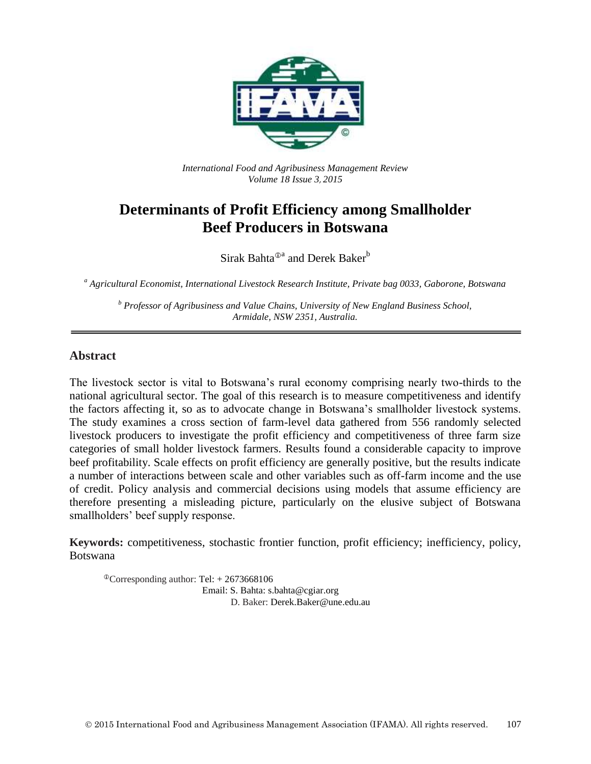

*International Food and Agribusiness Management Review Volume 18 Issue 3*, *2015*

# **Determinants of Profit Efficiency among Smallholder Beef Producers in Botswana**

Sirak Bahta $^{{\scriptsize\text{O}}\text{a}}$  and Derek Baker $^{\rm b}$ 

*<sup>a</sup> Agricultural Economist, International Livestock Research Institute, Private bag 0033, Gaborone, Botswana*

*<sup>b</sup> Professor of Agribusiness and Value Chains, University of New England Business School, Armidale, NSW 2351, Australia.*

#### **Abstract**

The livestock sector is vital to Botswana's rural economy comprising nearly two-thirds to the national agricultural sector. The goal of this research is to measure competitiveness and identify the factors affecting it, so as to advocate change in Botswana's smallholder livestock systems. The study examines a cross section of farm-level data gathered from 556 randomly selected livestock producers to investigate the profit efficiency and competitiveness of three farm size categories of small holder livestock farmers. Results found a considerable capacity to improve beef profitability. Scale effects on profit efficiency are generally positive, but the results indicate a number of interactions between scale and other variables such as off-farm income and the use of credit. Policy analysis and commercial decisions using models that assume efficiency are therefore presenting a misleading picture, particularly on the elusive subject of Botswana smallholders' beef supply response.

**Keywords:** competitiveness, stochastic frontier function, profit efficiency; inefficiency, policy, Botswana

 $^{\circ}$ Corresponding author: Tel: + 2673668106 Email: S. Bahta: s.bahta@cgiar.org D. Baker: Derek.Baker@une.edu.au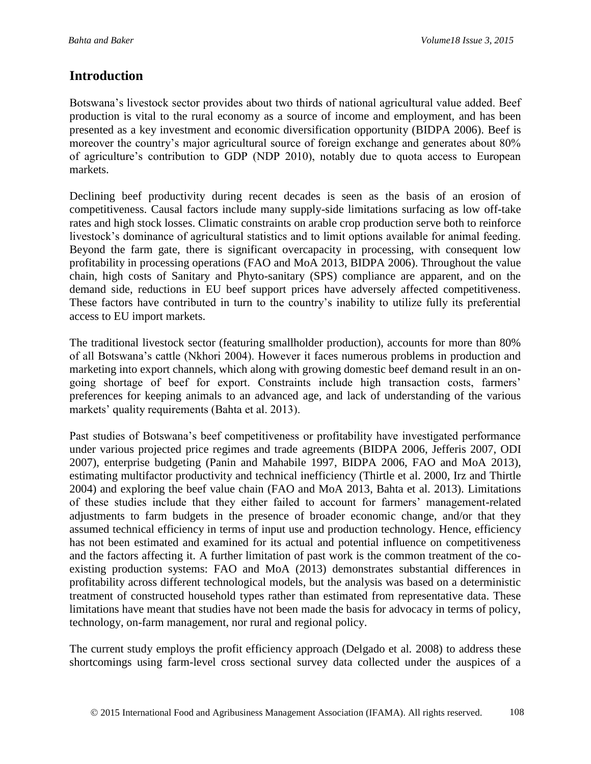### **Introduction**

Botswana's livestock sector provides about two thirds of national agricultural value added. Beef production is vital to the rural economy as a source of income and employment, and has been presented as a key investment and economic diversification opportunity (BIDPA 2006). Beef is moreover the country's major agricultural source of foreign exchange and generates about 80% of agriculture's contribution to GDP (NDP 2010), notably due to quota access to European markets.

Declining beef productivity during recent decades is seen as the basis of an erosion of competitiveness. Causal factors include many supply-side limitations surfacing as low off-take rates and high stock losses. Climatic constraints on arable crop production serve both to reinforce livestock's dominance of agricultural statistics and to limit options available for animal feeding. Beyond the farm gate, there is significant overcapacity in processing, with consequent low profitability in processing operations (FAO and MoA 2013, BIDPA 2006). Throughout the value chain, high costs of Sanitary and Phyto-sanitary (SPS) compliance are apparent, and on the demand side, reductions in EU beef support prices have adversely affected competitiveness. These factors have contributed in turn to the country's inability to utilize fully its preferential access to EU import markets.

The traditional livestock sector (featuring smallholder production), accounts for more than 80% of all Botswana's cattle (Nkhori 2004). However it faces numerous problems in production and marketing into export channels, which along with growing domestic beef demand result in an ongoing shortage of beef for export. Constraints include high transaction costs, farmers' preferences for keeping animals to an advanced age, and lack of understanding of the various markets' quality requirements (Bahta et al. 2013).

Past studies of Botswana's beef competitiveness or profitability have investigated performance under various projected price regimes and trade agreements (BIDPA 2006, Jefferis 2007, ODI 2007), enterprise budgeting (Panin and Mahabile 1997, BIDPA 2006, FAO and MoA 2013), estimating multifactor productivity and technical inefficiency (Thirtle et al. 2000, Irz and Thirtle 2004) and exploring the beef value chain (FAO and MoA 2013, Bahta et al. 2013). Limitations of these studies include that they either failed to account for farmers' management-related adjustments to farm budgets in the presence of broader economic change, and/or that they assumed technical efficiency in terms of input use and production technology. Hence, efficiency has not been estimated and examined for its actual and potential influence on competitiveness and the factors affecting it. A further limitation of past work is the common treatment of the coexisting production systems: FAO and MoA (2013) demonstrates substantial differences in profitability across different technological models, but the analysis was based on a deterministic treatment of constructed household types rather than estimated from representative data. These limitations have meant that studies have not been made the basis for advocacy in terms of policy, technology, on-farm management, nor rural and regional policy.

The current study employs the profit efficiency approach (Delgado et al*.* 2008) to address these shortcomings using farm-level cross sectional survey data collected under the auspices of a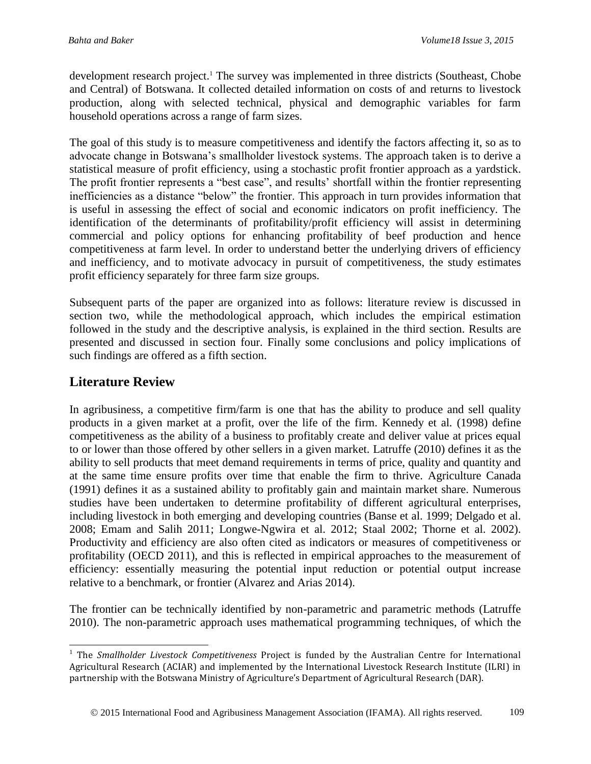development research project.<sup>1</sup> The survey was implemented in three districts (Southeast, Chobe and Central) of Botswana. It collected detailed information on costs of and returns to livestock production, along with selected technical, physical and demographic variables for farm household operations across a range of farm sizes.

The goal of this study is to measure competitiveness and identify the factors affecting it, so as to advocate change in Botswana's smallholder livestock systems. The approach taken is to derive a statistical measure of profit efficiency, using a stochastic profit frontier approach as a yardstick. The profit frontier represents a "best case", and results' shortfall within the frontier representing inefficiencies as a distance "below" the frontier. This approach in turn provides information that is useful in assessing the effect of social and economic indicators on profit inefficiency. The identification of the determinants of profitability/profit efficiency will assist in determining commercial and policy options for enhancing profitability of beef production and hence competitiveness at farm level. In order to understand better the underlying drivers of efficiency and inefficiency, and to motivate advocacy in pursuit of competitiveness, the study estimates profit efficiency separately for three farm size groups.

Subsequent parts of the paper are organized into as follows: literature review is discussed in section two, while the methodological approach, which includes the empirical estimation followed in the study and the descriptive analysis, is explained in the third section. Results are presented and discussed in section four. Finally some conclusions and policy implications of such findings are offered as a fifth section.

## **Literature Review**

 $\overline{\phantom{a}}$ 

In agribusiness, a competitive firm/farm is one that has the ability to produce and sell quality products in a given market at a profit, over the life of the firm. Kennedy et al*.* (1998) define competitiveness as the ability of a business to profitably create and deliver value at prices equal to or lower than those offered by other sellers in a given market. Latruffe (2010) defines it as the ability to sell products that meet demand requirements in terms of price, quality and quantity and at the same time ensure profits over time that enable the firm to thrive. Agriculture Canada (1991) defines it as a sustained ability to profitably gain and maintain market share. Numerous studies have been undertaken to determine profitability of different agricultural enterprises, including livestock in both emerging and developing countries (Banse et al. 1999; Delgado et al. 2008; Emam and Salih 2011; Longwe-Ngwira et al. 2012; Staal 2002; Thorne et al. 2002). Productivity and efficiency are also often cited as indicators or measures of competitiveness or profitability (OECD 2011), and this is reflected in empirical approaches to the measurement of efficiency: essentially measuring the potential input reduction or potential output increase relative to a benchmark, or frontier (Alvarez and Arias 2014).

The frontier can be technically identified by non-parametric and parametric methods (Latruffe 2010). The non-parametric approach uses mathematical programming techniques, of which the

<sup>&</sup>lt;sup>1</sup> The *Smallholder Livestock Competitiveness* Project is funded by the Australian Centre for International Agricultural Research (ACIAR) and implemented by the International Livestock Research Institute (ILRI) in partnership with the Botswana Ministry of Agriculture's Department of Agricultural Research (DAR).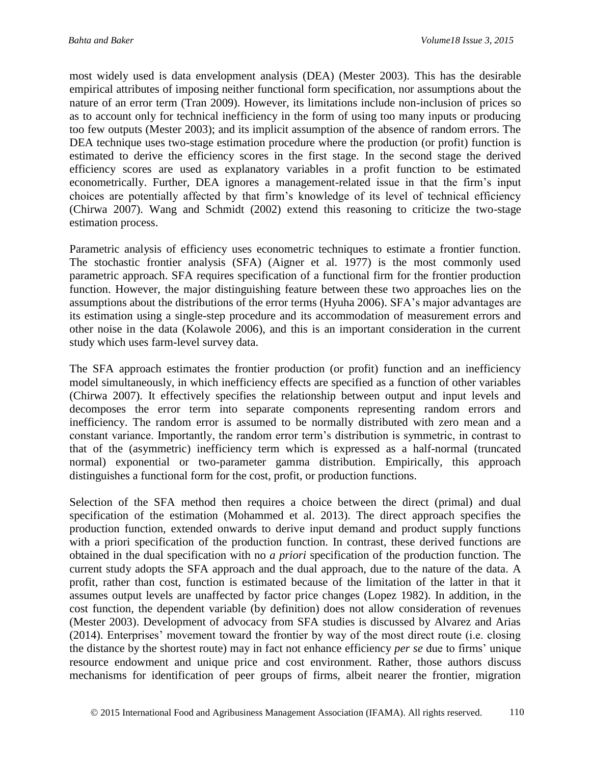most widely used is data envelopment analysis (DEA) (Mester 2003). This has the desirable empirical attributes of imposing neither functional form specification, nor assumptions about the nature of an error term (Tran 2009). However, its limitations include non-inclusion of prices so as to account only for technical inefficiency in the form of using too many inputs or producing too few outputs (Mester 2003); and its implicit assumption of the absence of random errors. The DEA technique uses two-stage estimation procedure where the production (or profit) function is estimated to derive the efficiency scores in the first stage. In the second stage the derived efficiency scores are used as explanatory variables in a profit function to be estimated econometrically. Further, DEA ignores a management-related issue in that the firm's input choices are potentially affected by that firm's knowledge of its level of technical efficiency (Chirwa 2007). Wang and Schmidt (2002) extend this reasoning to criticize the two-stage estimation process.

Parametric analysis of efficiency uses econometric techniques to estimate a frontier function. The stochastic frontier analysis (SFA) (Aigner et al. 1977) is the most commonly used parametric approach. SFA requires specification of a functional firm for the frontier production function. However, the major distinguishing feature between these two approaches lies on the assumptions about the distributions of the error terms (Hyuha 2006). SFA's major advantages are its estimation using a single-step procedure and its accommodation of measurement errors and other noise in the data (Kolawole 2006), and this is an important consideration in the current study which uses farm-level survey data.

The SFA approach estimates the frontier production (or profit) function and an inefficiency model simultaneously, in which inefficiency effects are specified as a function of other variables (Chirwa 2007). It effectively specifies the relationship between output and input levels and decomposes the error term into separate components representing random errors and inefficiency. The random error is assumed to be normally distributed with zero mean and a constant variance. Importantly, the random error term's distribution is symmetric, in contrast to that of the (asymmetric) inefficiency term which is expressed as a half-normal (truncated normal) exponential or two-parameter gamma distribution. Empirically, this approach distinguishes a functional form for the cost, profit, or production functions.

Selection of the SFA method then requires a choice between the direct (primal) and dual specification of the estimation (Mohammed et al. 2013). The direct approach specifies the production function, extended onwards to derive input demand and product supply functions with a priori specification of the production function. In contrast, these derived functions are obtained in the dual specification with no *a priori* specification of the production function. The current study adopts the SFA approach and the dual approach, due to the nature of the data. A profit, rather than cost, function is estimated because of the limitation of the latter in that it assumes output levels are unaffected by factor price changes (Lopez 1982). In addition, in the cost function, the dependent variable (by definition) does not allow consideration of revenues (Mester 2003). Development of advocacy from SFA studies is discussed by Alvarez and Arias (2014). Enterprises' movement toward the frontier by way of the most direct route (i.e. closing the distance by the shortest route) may in fact not enhance efficiency *per se* due to firms' unique resource endowment and unique price and cost environment. Rather, those authors discuss mechanisms for identification of peer groups of firms, albeit nearer the frontier, migration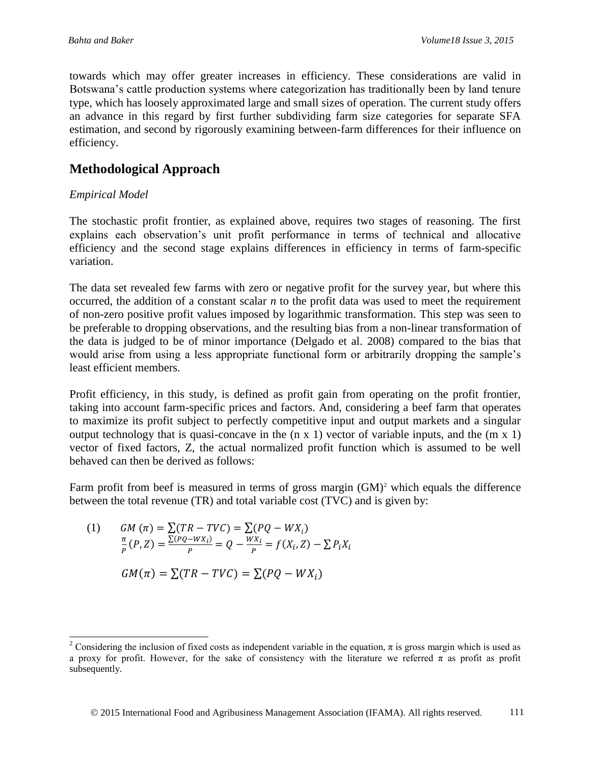towards which may offer greater increases in efficiency. These considerations are valid in Botswana's cattle production systems where categorization has traditionally been by land tenure type, which has loosely approximated large and small sizes of operation. The current study offers an advance in this regard by first further subdividing farm size categories for separate SFA estimation, and second by rigorously examining between-farm differences for their influence on efficiency.

# **Methodological Approach**

### *Empirical Model*

 $\overline{\phantom{a}}$ 

The stochastic profit frontier, as explained above, requires two stages of reasoning. The first explains each observation's unit profit performance in terms of technical and allocative efficiency and the second stage explains differences in efficiency in terms of farm-specific variation.

The data set revealed few farms with zero or negative profit for the survey year, but where this occurred, the addition of a constant scalar *n* to the profit data was used to meet the requirement of non-zero positive profit values imposed by logarithmic transformation. This step was seen to be preferable to dropping observations, and the resulting bias from a non-linear transformation of the data is judged to be of minor importance (Delgado et al. 2008) compared to the bias that would arise from using a less appropriate functional form or arbitrarily dropping the sample's least efficient members.

Profit efficiency, in this study, is defined as profit gain from operating on the profit frontier, taking into account farm-specific prices and factors. And, considering a beef farm that operates to maximize its profit subject to perfectly competitive input and output markets and a singular output technology that is quasi-concave in the  $(n \times 1)$  vector of variable inputs, and the  $(m \times 1)$ vector of fixed factors, Z, the actual normalized profit function which is assumed to be well behaved can then be derived as follows:

Farm profit from beef is measured in terms of gross margin  $(GM)^2$  which equals the difference between the total revenue (TR) and total variable cost (TVC) and is given by:

(1) 
$$
GM (\pi) = \sum (TR - TVC) = \sum (PQ - WX_i)
$$

$$
\frac{\pi}{P}(P, Z) = \frac{\sum (PQ - WX_i)}{P} = Q - \frac{WX_i}{P} = f(X_i, Z) - \sum P_i X_i
$$

$$
GM(\pi) = \sum (TR - TVC) = \sum (PQ - WX_i)
$$

<sup>&</sup>lt;sup>2</sup> Considering the inclusion of fixed costs as independent variable in the equation,  $\pi$  is gross margin which is used as a proxy for profit. However, for the sake of consistency with the literature we referred  $\pi$  as profit as profit subsequently.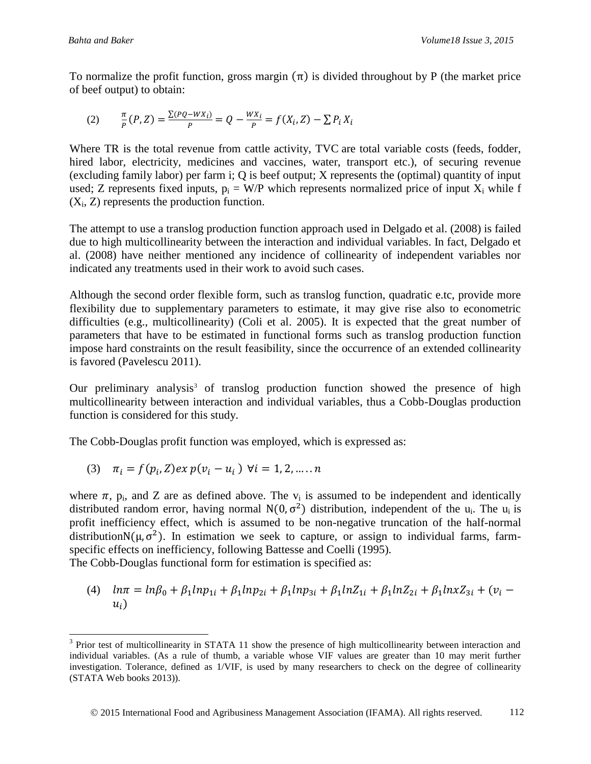To normalize the profit function, gross margin  $(\pi)$  is divided throughout by P (the market price of beef output) to obtain:

(2) 
$$
\frac{\pi}{p}(P, Z) = \frac{\sum (PQ - WX_i)}{P} = Q - \frac{WX_i}{P} = f(X_i, Z) - \sum P_i X_i
$$

Where TR is the total revenue from cattle activity, TVC are total variable costs (feeds, fodder, hired labor, electricity, medicines and vaccines, water, transport etc.), of securing revenue (excluding family labor) per farm i; Q is beef output; X represents the (optimal) quantity of input used; Z represents fixed inputs,  $p_i = W/P$  which represents normalized price of input  $X_i$  while f  $(X_i, Z)$  represents the production function.

The attempt to use a translog production function approach used in Delgado et al. (2008) is failed due to high multicollinearity between the interaction and individual variables. In fact, Delgado et al. (2008) have neither mentioned any incidence of collinearity of independent variables nor indicated any treatments used in their work to avoid such cases.

Although the second order flexible form, such as translog function, quadratic e.tc, provide more flexibility due to supplementary parameters to estimate, it may give rise also to econometric difficulties (e.g., multicollinearity) (Coli et al. 2005). It is expected that the great number of parameters that have to be estimated in functional forms such as translog production function impose hard constraints on the result feasibility, since the occurrence of an extended collinearity is favored (Pavelescu 2011).

Our preliminary analysis<sup>3</sup> of translog production function showed the presence of high multicollinearity between interaction and individual variables, thus a Cobb-Douglas production function is considered for this study.

The Cobb-Douglas profit function was employed, which is expressed as:

(3) 
$$
\pi_i = f(p_i, Z) e^{i \pi} p(v_i - u_i) \ \forall i = 1, 2, \dots, n
$$

where  $\pi$ ,  $p_i$ , and Z are as defined above. The  $v_i$  is assumed to be independent and identically distributed random error, having normal  $N(0, \sigma^2)$  distribution, independent of the  $u_i$ . The  $u_i$  is profit inefficiency effect, which is assumed to be non-negative truncation of the half-normal distribution $N(\mu, \sigma^2)$ . In estimation we seek to capture, or assign to individual farms, farmspecific effects on inefficiency, following Battesse and Coelli (1995).

The Cobb-Douglas functional form for estimation is specified as:

(4) 
$$
\ln \pi = \ln \beta_0 + \beta_1 \ln p_{1i} + \beta_1 \ln p_{2i} + \beta_1 \ln p_{3i} + \beta_1 \ln Z_{1i} + \beta_1 \ln Z_{2i} + \beta_1 \ln X Z_{3i} + (v_i - u_i)
$$

 $\overline{\phantom{a}}$ <sup>3</sup> Prior test of multicollinearity in STATA 11 show the presence of high multicollinearity between interaction and individual variables. (As a rule of thumb, a variable whose VIF values are greater than 10 may merit further investigation. Tolerance, defined as 1/VIF, is used by many researchers to check on the degree of collinearity (STATA Web books 2013)).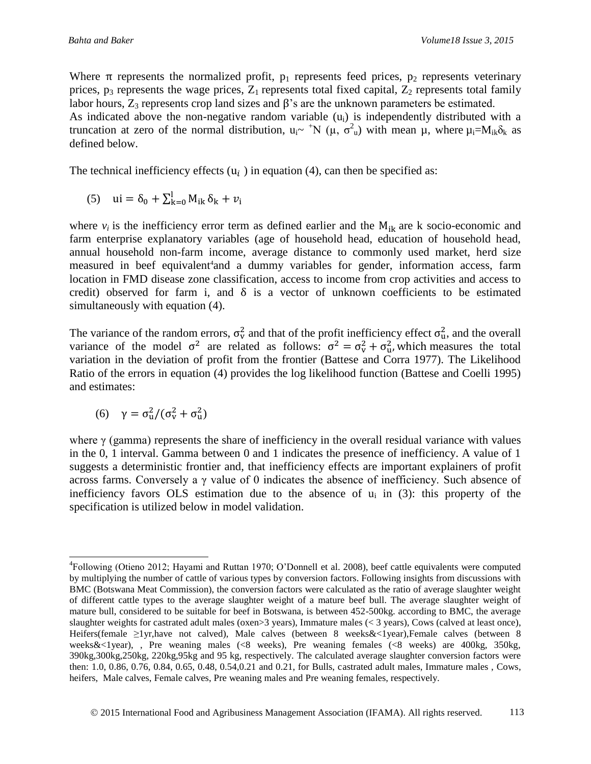Where  $\pi$  represents the normalized profit,  $p_1$  represents feed prices,  $p_2$  represents veterinary prices,  $p_3$  represents the wage prices,  $Z_1$  represents total fixed capital,  $Z_2$  represents total family labor hours,  $Z_3$  represents crop land sizes and  $\beta$ 's are the unknown parameters be estimated. As indicated above the non-negative random variable  $(u_i)$  is independently distributed with a truncation at zero of the normal distribution,  $u_i \sim {}^+N$  ( $\mu$ ,  $\sigma^2 u$ ) with mean  $\mu$ , where  $\mu_i = M_{ik} \delta_k$  as defined below.

The technical inefficiency effects  $(u_i)$  in equation (4), can then be specified as:

(5) 
$$
ui = \delta_0 + \sum_{k=0}^{1} M_{ik} \delta_k + v_i
$$

where  $v_i$  is the inefficiency error term as defined earlier and the  $M_{ik}$  are k socio-economic and farm enterprise explanatory variables (age of household head, education of household head, annual household non-farm income, average distance to commonly used market, herd size measured in beef equivalent<sup>4</sup>and a dummy variables for gender, information access, farm location in FMD disease zone classification, access to income from crop activities and access to credit) observed for farm i, and  $\delta$  is a vector of unknown coefficients to be estimated simultaneously with equation (4).

The variance of the random errors,  $\sigma_v^2$  and that of the profit inefficiency effect  $\sigma_u^2$ , and the overall variance of the model  $\sigma^2$  are related as follows:  $\sigma^2 = \sigma_v^2 + \sigma_u^2$ , which measures the total variation in the deviation of profit from the frontier (Battese and Corra 1977). The Likelihood Ratio of the errors in equation (4) provides the log likelihood function (Battese and Coelli 1995) and estimates:

$$
(6) \quad \gamma = \sigma_u^2/(\sigma_v^2 + \sigma_u^2)
$$

where  $\gamma$  (gamma) represents the share of inefficiency in the overall residual variance with values in the 0, 1 interval. Gamma between 0 and 1 indicates the presence of inefficiency. A value of 1 suggests a deterministic frontier and, that inefficiency effects are important explainers of profit across farms. Conversely a  $\gamma$  value of 0 indicates the absence of inefficiency. Such absence of inefficiency favors OLS estimation due to the absence of  $u_i$  in (3): this property of the specification is utilized below in model validation.

 $\overline{a}$ <sup>4</sup>Following (Otieno 2012; Hayami and Ruttan 1970; O'Donnell et al. 2008), beef cattle equivalents were computed by multiplying the number of cattle of various types by conversion factors. Following insights from discussions with BMC (Botswana Meat Commission), the conversion factors were calculated as the ratio of average slaughter weight of different cattle types to the average slaughter weight of a mature beef bull. The average slaughter weight of mature bull, considered to be suitable for beef in Botswana, is between 452-500kg. according to BMC, the average slaughter weights for castrated adult males (oxen>3 years), Immature males ( $<$  3 years), Cows (calved at least once), Heifers(female ≥1yr,have not calved), Male calves (between 8 weeks&<1year),Female calves (between 8 weeks&<1year), , Pre weaning males (<8 weeks), Pre weaning females (<8 weeks) are 400kg, 350kg, 390kg,300kg,250kg, 220kg,95kg and 95 kg, respectively. The calculated average slaughter conversion factors were then: 1.0, 0.86, 0.76, 0.84, 0.65, 0.48, 0.54,0.21 and 0.21, for Bulls, castrated adult males, Immature males , Cows, heifers, Male calves, Female calves, Pre weaning males and Pre weaning females, respectively.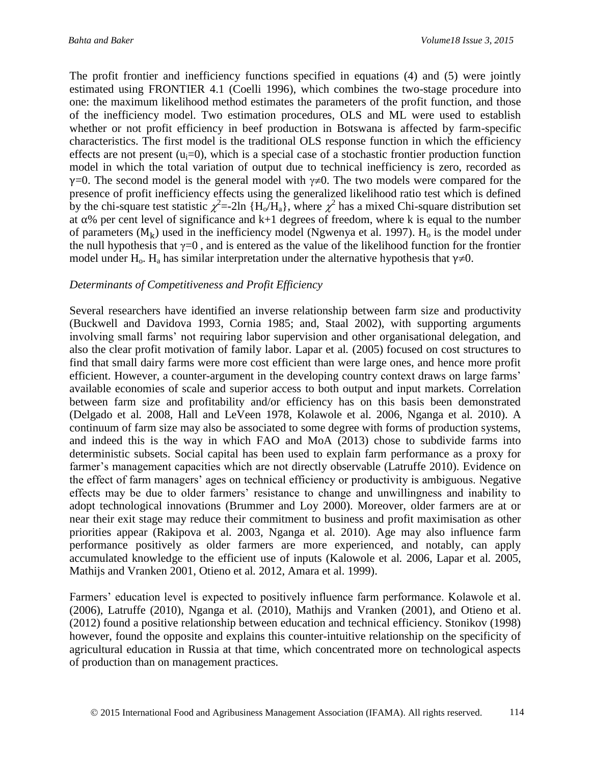The profit frontier and inefficiency functions specified in equations (4) and (5) were jointly estimated using FRONTIER 4.1 (Coelli 1996), which combines the two-stage procedure into one: the maximum likelihood method estimates the parameters of the profit function, and those of the inefficiency model. Two estimation procedures, OLS and ML were used to establish whether or not profit efficiency in beef production in Botswana is affected by farm-specific characteristics. The first model is the traditional OLS response function in which the efficiency effects are not present  $(u_i=0)$ , which is a special case of a stochastic frontier production function model in which the total variation of output due to technical inefficiency is zero, recorded as γ=0. The second model is the general model with  $γ=0$ . The two models were compared for the presence of profit inefficiency effects using the generalized likelihood ratio test which is defined by the chi-square test statistic  $\chi^2$ =-2ln {H<sub>o</sub>/H<sub>a</sub>}, where  $\chi^2$  has a mixed Chi-square distribution set at  $\alpha$ % per cent level of significance and k+1 degrees of freedom, where k is equal to the number of parameters  $(M_k)$  used in the inefficiency model (Ngwenya et al. 1997).  $H_0$  is the model under the null hypothesis that  $\gamma=0$ , and is entered as the value of the likelihood function for the frontier model under H<sub>0</sub>. H<sub>a</sub> has similar interpretation under the alternative hypothesis that  $\gamma \neq 0$ .

#### *Determinants of Competitiveness and Profit Efficiency*

Several researchers have identified an inverse relationship between farm size and productivity (Buckwell and Davidova 1993, Cornia 1985; and, Staal 2002), with supporting arguments involving small farms' not requiring labor supervision and other organisational delegation, and also the clear profit motivation of family labor. Lapar et al*.* (2005) focused on cost structures to find that small dairy farms were more cost efficient than were large ones, and hence more profit efficient. However, a counter-argument in the developing country context draws on large farms' available economies of scale and superior access to both output and input markets. Correlation between farm size and profitability and/or efficiency has on this basis been demonstrated (Delgado et al*.* 2008, Hall and LeVeen 1978, Kolawole et al*.* 2006, Nganga et al*.* 2010). A continuum of farm size may also be associated to some degree with forms of production systems, and indeed this is the way in which FAO and MoA (2013) chose to subdivide farms into deterministic subsets. Social capital has been used to explain farm performance as a proxy for farmer's management capacities which are not directly observable (Latruffe 2010). Evidence on the effect of farm managers' ages on technical efficiency or productivity is ambiguous. Negative effects may be due to older farmers' resistance to change and unwillingness and inability to adopt technological innovations (Brummer and Loy 2000). Moreover, older farmers are at or near their exit stage may reduce their commitment to business and profit maximisation as other priorities appear (Rakipova et al. 2003, Nganga et al*.* 2010). Age may also influence farm performance positively as older farmers are more experienced, and notably, can apply accumulated knowledge to the efficient use of inputs (Kalowole et al*.* 2006, Lapar et al*.* 2005, Mathijs and Vranken 2001, Otieno et al*.* 2012, Amara et al. 1999).

Farmers' education level is expected to positively influence farm performance. Kolawole et al*.* (2006), Latruffe (2010), Nganga et al*.* (2010), Mathijs and Vranken (2001), and Otieno et al. (2012) found a positive relationship between education and technical efficiency. Stonikov (1998) however, found the opposite and explains this counter-intuitive relationship on the specificity of agricultural education in Russia at that time, which concentrated more on technological aspects of production than on management practices.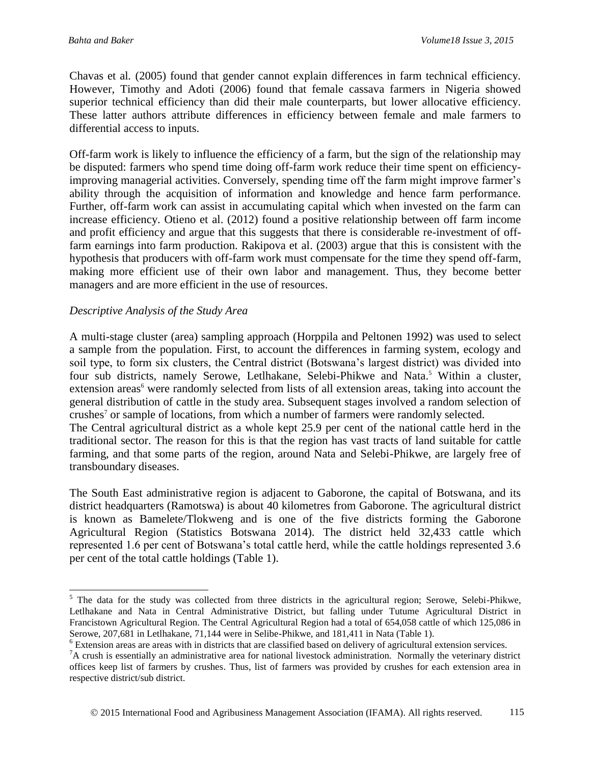l

Chavas et al*.* (2005) found that gender cannot explain differences in farm technical efficiency. However, Timothy and Adoti (2006) found that female cassava farmers in Nigeria showed superior technical efficiency than did their male counterparts, but lower allocative efficiency. These latter authors attribute differences in efficiency between female and male farmers to differential access to inputs.

Off-farm work is likely to influence the efficiency of a farm, but the sign of the relationship may be disputed: farmers who spend time doing off-farm work reduce their time spent on efficiencyimproving managerial activities. Conversely, spending time off the farm might improve farmer's ability through the acquisition of information and knowledge and hence farm performance. Further, off-farm work can assist in accumulating capital which when invested on the farm can increase efficiency. Otieno et al. (2012) found a positive relationship between off farm income and profit efficiency and argue that this suggests that there is considerable re-investment of offfarm earnings into farm production. Rakipova et al. (2003) argue that this is consistent with the hypothesis that producers with off-farm work must compensate for the time they spend off-farm, making more efficient use of their own labor and management. Thus, they become better managers and are more efficient in the use of resources.

#### *Descriptive Analysis of the Study Area*

A multi-stage cluster (area) sampling approach (Horppila and Peltonen 1992) was used to select a sample from the population. First, to account the differences in farming system, ecology and soil type, to form six clusters, the Central district (Botswana's largest district) was divided into four sub districts, namely Serowe, Letlhakane, Selebi-Phikwe and Nata.<sup>5</sup> Within a cluster, extension areas<sup>6</sup> were randomly selected from lists of all extension areas, taking into account the general distribution of cattle in the study area. Subsequent stages involved a random selection of crushes<sup>7</sup> or sample of locations, from which a number of farmers were randomly selected. The Central agricultural district as a whole kept 25.9 per cent of the national cattle herd in the traditional sector. The reason for this is that the region has vast tracts of land suitable for cattle farming, and that some parts of the region, around Nata and Selebi-Phikwe, are largely free of transboundary diseases.

The South East administrative region is adjacent to Gaborone, the capital of Botswana, and its district headquarters (Ramotswa) is about 40 kilometres from Gaborone. The agricultural district is known as Bamelete/Tlokweng and is one of the five districts forming the Gaborone Agricultural Region (Statistics Botswana 2014). The district held 32,433 cattle which represented 1.6 per cent of Botswana's total cattle herd, while the cattle holdings represented 3.6 per cent of the total cattle holdings (Table 1).

 $5$  The data for the study was collected from three districts in the agricultural region; Serowe, Selebi-Phikwe, Letlhakane and Nata in Central Administrative District, but falling under Tutume Agricultural District in Francistown Agricultural Region. The Central Agricultural Region had a total of 654,058 cattle of which 125,086 in Serowe, 207,681 in Letlhakane, 71,144 were in Selibe-Phikwe, and 181,411 in Nata (Table 1).

<sup>&</sup>lt;sup>6</sup> Extension areas are areas with in districts that are classified based on delivery of agricultural extension services.

 ${}^{7}$ A crush is essentially an administrative area for national livestock administration. Normally the veterinary district offices keep list of farmers by crushes. Thus, list of farmers was provided by crushes for each extension area in respective district/sub district.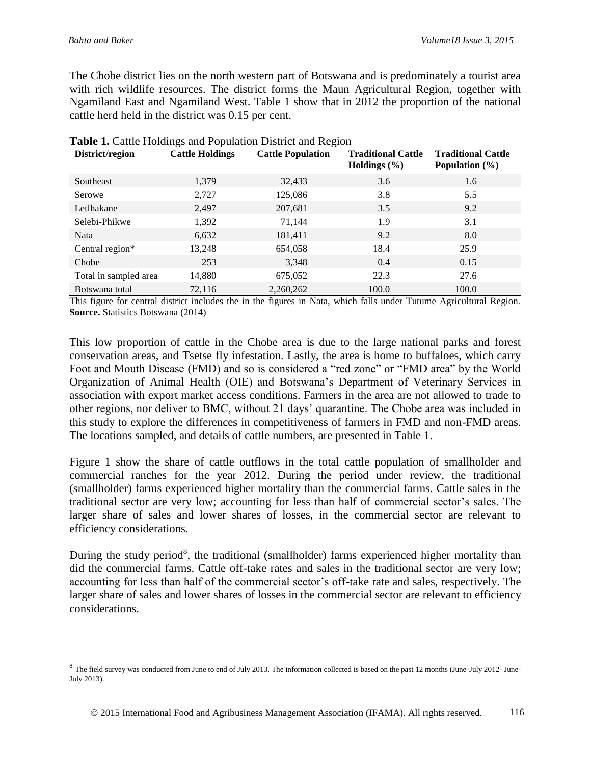The Chobe district lies on the north western part of Botswana and is predominately a tourist area with rich wildlife resources. The district forms the Maun Agricultural Region, together with Ngamiland East and Ngamiland West. Table 1 show that in 2012 the proportion of the national cattle herd held in the district was 0.15 per cent.

| District/region       | <b>Cattle Holdings</b> | <b>Cattle Population</b> | <b>Traditional Cattle</b><br>Holdings $(\% )$ | <b>Traditional Cattle</b><br>Population $(\% )$ |
|-----------------------|------------------------|--------------------------|-----------------------------------------------|-------------------------------------------------|
| Southeast             | 1,379                  | 32,433                   | 3.6                                           | 1.6                                             |
| Serowe                | 2,727                  | 125,086                  | 3.8                                           | 5.5                                             |
| Letlhakane            | 2,497                  | 207,681                  | 3.5                                           | 9.2                                             |
| Selebi-Phikwe         | 1,392                  | 71.144                   | 1.9                                           | 3.1                                             |
| Nata                  | 6,632                  | 181,411                  | 9.2                                           | 8.0                                             |
| Central region*       | 13,248                 | 654,058                  | 18.4                                          | 25.9                                            |
| Chobe                 | 253                    | 3,348                    | 0.4                                           | 0.15                                            |
| Total in sampled area | 14,880                 | 675,052                  | 22.3                                          | 27.6                                            |
| Botswana total        | 72,116                 | 2,260,262                | 100.0                                         | 100.0                                           |

**Table 1.** Cattle Holdings and Population District and Region

This figure for central district includes the in the figures in Nata, which falls under Tutume Agricultural Region. **Source.** Statistics Botswana (2014)

This low proportion of cattle in the Chobe area is due to the large national parks and forest conservation areas, and Tsetse fly infestation. Lastly, the area is home to buffaloes, which carry Foot and Mouth Disease (FMD) and so is considered a "red zone" or "FMD area" by the World Organization of Animal Health (OIE) and Botswana's Department of Veterinary Services in association with export market access conditions. Farmers in the area are not allowed to trade to other regions, nor deliver to BMC, without 21 days' quarantine. The Chobe area was included in this study to explore the differences in competitiveness of farmers in FMD and non-FMD areas. The locations sampled, and details of cattle numbers, are presented in Table 1.

Figure 1 show the share of cattle outflows in the total cattle population of smallholder and commercial ranches for the year 2012. During the period under review, the traditional (smallholder) farms experienced higher mortality than the commercial farms. Cattle sales in the traditional sector are very low; accounting for less than half of commercial sector's sales. The larger share of sales and lower shares of losses, in the commercial sector are relevant to efficiency considerations.

During the study period<sup>8</sup>, the traditional (smallholder) farms experienced higher mortality than did the commercial farms. Cattle off-take rates and sales in the traditional sector are very low; accounting for less than half of the commercial sector's off-take rate and sales, respectively. The larger share of sales and lower shares of losses in the commercial sector are relevant to efficiency considerations.

<sup>&</sup>lt;sup>8</sup> The field survey was conducted from June to end of July 2013. The information collected is based on the past 12 months (June-July 2012- June-July 2013).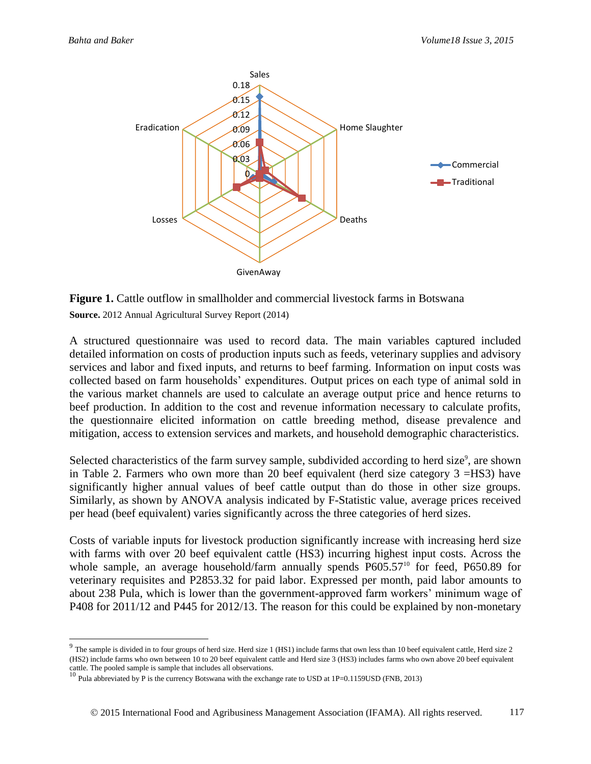$\overline{a}$ 



**Figure 1.** Cattle outflow in smallholder and commercial livestock farms in Botswana **Source.** 2012 Annual Agricultural Survey Report (2014)

A structured questionnaire was used to record data. The main variables captured included detailed information on costs of production inputs such as feeds, veterinary supplies and advisory services and labor and fixed inputs, and returns to beef farming. Information on input costs was collected based on farm households' expenditures. Output prices on each type of animal sold in the various market channels are used to calculate an average output price and hence returns to beef production. In addition to the cost and revenue information necessary to calculate profits, the questionnaire elicited information on cattle breeding method, disease prevalence and mitigation, access to extension services and markets, and household demographic characteristics.

Selected characteristics of the farm survey sample, subdivided according to herd size<sup>9</sup>, are shown in Table 2. Farmers who own more than 20 beef equivalent (herd size category 3 =HS3) have significantly higher annual values of beef cattle output than do those in other size groups. Similarly, as shown by ANOVA analysis indicated by F-Statistic value, average prices received per head (beef equivalent) varies significantly across the three categories of herd sizes.

Costs of variable inputs for livestock production significantly increase with increasing herd size with farms with over 20 beef equivalent cattle (HS3) incurring highest input costs. Across the whole sample, an average household/farm annually spends  $P605.57<sup>10</sup>$  for feed, P650.89 for veterinary requisites and P2853.32 for paid labor. Expressed per month, paid labor amounts to about 238 Pula, which is lower than the government-approved farm workers' minimum wage of P408 for 2011/12 and P445 for 2012/13. The reason for this could be explained by non-monetary

<sup>9</sup> The sample is divided in to four groups of herd size. Herd size 1 (HS1) include farms that own less than 10 beef equivalent cattle, Herd size 2 (HS2) include farms who own between 10 to 20 beef equivalent cattle and Herd size 3 (HS3) includes farms who own above 20 beef equivalent

cattle. The pooled sample is sample that includes all observations.<br><sup>10</sup> Pula abbreviated by P is the currency Botswana with the exchange rate to USD at 1P=0.1159USD (FNB, 2013)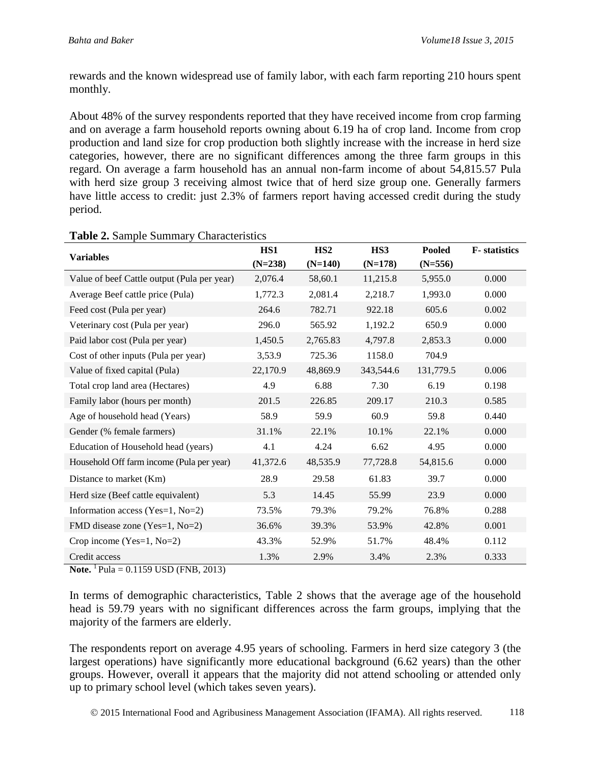rewards and the known widespread use of family labor, with each farm reporting 210 hours spent monthly.

About 48% of the survey respondents reported that they have received income from crop farming and on average a farm household reports owning about 6.19 ha of crop land. Income from crop production and land size for crop production both slightly increase with the increase in herd size categories, however, there are no significant differences among the three farm groups in this regard. On average a farm household has an annual non-farm income of about 54,815.57 Pula with herd size group 3 receiving almost twice that of herd size group one. Generally farmers have little access to credit: just 2.3% of farmers report having accessed credit during the study period.

| <b>Variables</b>                            | HS <sub>1</sub><br>$(N=238)$ | HS2<br>$(N=140)$ | HS3<br>$(N=178)$ | Pooled<br>$(N=556)$ | <b>F</b> -statistics |
|---------------------------------------------|------------------------------|------------------|------------------|---------------------|----------------------|
| Value of beef Cattle output (Pula per year) | 2,076.4                      | 58,60.1          | 11,215.8         | 5,955.0             | 0.000                |
| Average Beef cattle price (Pula)            | 1,772.3                      | 2,081.4          | 2,218.7          | 1,993.0             | 0.000                |
| Feed cost (Pula per year)                   | 264.6                        | 782.71           | 922.18           | 605.6               | 0.002                |
| Veterinary cost (Pula per year)             | 296.0                        | 565.92           | 1,192.2          | 650.9               | 0.000                |
| Paid labor cost (Pula per year)             | 1,450.5                      | 2,765.83         | 4,797.8          | 2,853.3             | 0.000                |
| Cost of other inputs (Pula per year)        | 3,53.9                       | 725.36           | 1158.0           | 704.9               |                      |
| Value of fixed capital (Pula)               | 22,170.9                     | 48,869.9         | 343,544.6        | 131,779.5           | 0.006                |
| Total crop land area (Hectares)             | 4.9                          | 6.88             | 7.30             | 6.19                | 0.198                |
| Family labor (hours per month)              | 201.5                        | 226.85           | 209.17           | 210.3               | 0.585                |
| Age of household head (Years)               | 58.9                         | 59.9             | 60.9             | 59.8                | 0.440                |
| Gender (% female farmers)                   | 31.1%                        | 22.1%            | 10.1%            | 22.1%               | 0.000                |
| Education of Household head (years)         | 4.1                          | 4.24             | 6.62             | 4.95                | 0.000                |
| Household Off farm income (Pula per year)   | 41,372.6                     | 48,535.9         | 77,728.8         | 54,815.6            | 0.000                |
| Distance to market (Km)                     | 28.9                         | 29.58            | 61.83            | 39.7                | 0.000                |
| Herd size (Beef cattle equivalent)          | 5.3                          | 14.45            | 55.99            | 23.9                | 0.000                |
| Information access (Yes=1, No=2)            | 73.5%                        | 79.3%            | 79.2%            | 76.8%               | 0.288                |
| FMD disease zone (Yes=1, No=2)              | 36.6%                        | 39.3%            | 53.9%            | 42.8%               | 0.001                |
| Crop income (Yes=1, $No=2$ )                | 43.3%                        | 52.9%            | 51.7%            | 48.4%               | 0.112                |
| Credit access                               | 1.3%                         | 2.9%             | 3.4%             | 2.3%                | 0.333                |

#### **Table 2.** Sample Summary Characteristics

**Note.** <sup>1</sup> Pula =  $0.1159$  USD (FNB, 2013)

In terms of demographic characteristics, Table 2 shows that the average age of the household head is 59.79 years with no significant differences across the farm groups, implying that the majority of the farmers are elderly.

The respondents report on average 4.95 years of schooling. Farmers in herd size category 3 (the largest operations) have significantly more educational background (6.62 years) than the other groups. However, overall it appears that the majority did not attend schooling or attended only up to primary school level (which takes seven years).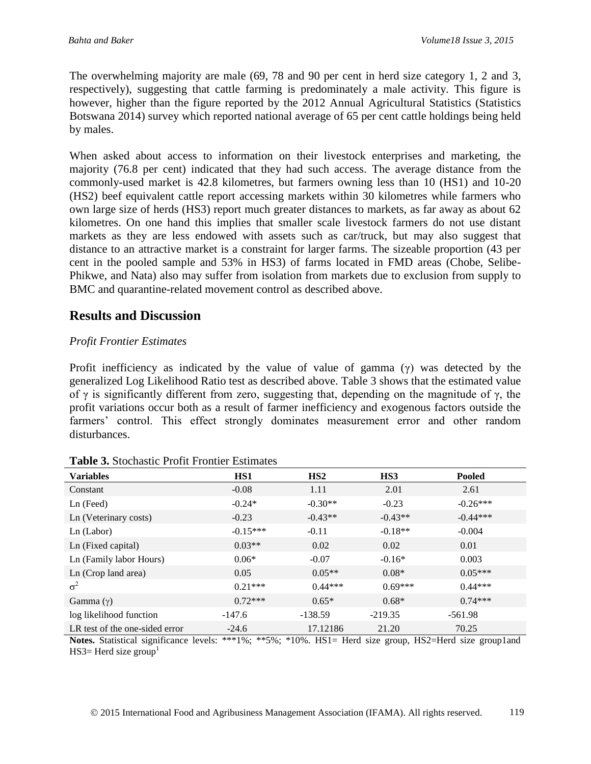The overwhelming majority are male (69, 78 and 90 per cent in herd size category 1, 2 and 3, respectively), suggesting that cattle farming is predominately a male activity. This figure is however, higher than the figure reported by the 2012 Annual Agricultural Statistics (Statistics Botswana 2014) survey which reported national average of 65 per cent cattle holdings being held by males.

When asked about access to information on their livestock enterprises and marketing, the majority (76.8 per cent) indicated that they had such access. The average distance from the commonly-used market is 42.8 kilometres, but farmers owning less than 10 (HS1) and 10-20 (HS2) beef equivalent cattle report accessing markets within 30 kilometres while farmers who own large size of herds (HS3) report much greater distances to markets, as far away as about 62 kilometres. On one hand this implies that smaller scale livestock farmers do not use distant markets as they are less endowed with assets such as car/truck, but may also suggest that distance to an attractive market is a constraint for larger farms. The sizeable proportion (43 per cent in the pooled sample and 53% in HS3) of farms located in FMD areas (Chobe, Selibe-Phikwe, and Nata) also may suffer from isolation from markets due to exclusion from supply to BMC and quarantine-related movement control as described above.

## **Results and Discussion**

### *Profit Frontier Estimates*

Profit inefficiency as indicated by the value of value of gamma (γ) was detected by the generalized Log Likelihood Ratio test as described above. Table 3 shows that the estimated value of  $\gamma$  is significantly different from zero, suggesting that, depending on the magnitude of  $\gamma$ , the profit variations occur both as a result of farmer inefficiency and exogenous factors outside the farmers' control. This effect strongly dominates measurement error and other random disturbances.

| <b>Variables</b>               | HS <sub>1</sub> | HS2       | HS3       | Pooled     |
|--------------------------------|-----------------|-----------|-----------|------------|
| Constant                       | $-0.08$         | 1.11      | 2.01      | 2.61       |
| Ln (Feed)                      | $-0.24*$        | $-0.30**$ | $-0.23$   | $-0.26***$ |
| Ln (Veterinary costs)          | $-0.23$         | $-0.43**$ | $-0.43**$ | $-0.44***$ |
| $Ln$ (Labor)                   | $-0.15***$      | $-0.11$   | $-0.18**$ | $-0.004$   |
| Ln (Fixed capital)             | $0.03**$        | 0.02      | 0.02      | 0.01       |
| Ln (Family labor Hours)        | $0.06*$         | $-0.07$   | $-0.16*$  | 0.003      |
| Ln (Crop land area)            | 0.05            | $0.05**$  | $0.08*$   | $0.05***$  |
| $\sigma^2$                     | $0.21***$       | $0.44***$ | $0.69***$ | $0.44***$  |
| Gamma $(y)$                    | $0.72***$       | $0.65*$   | $0.68*$   | $0.74***$  |
| log likelihood function        | $-147.6$        | $-138.59$ | $-219.35$ | $-561.98$  |
| LR test of the one-sided error | $-24.6$         | 17.12186  | 21.20     | 70.25      |

#### **Table 3.** Stochastic Profit Frontier Estimates

Notes. Statistical significance levels: \*\*\*1%; \*\*5%; \*10%. HS1= Herd size group, HS2=Herd size group1and HS3= Herd size group<sup>1</sup>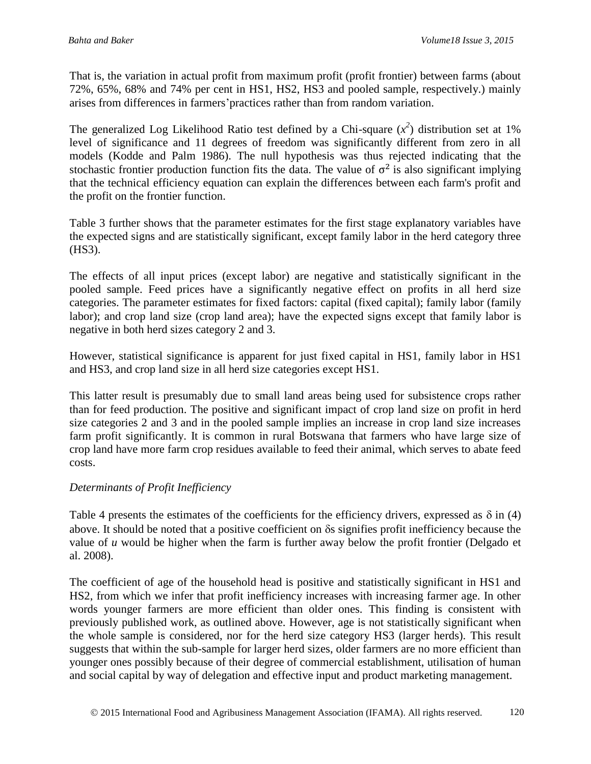That is, the variation in actual profit from maximum profit (profit frontier) between farms (about 72%, 65%, 68% and 74% per cent in HS1, HS2, HS3 and pooled sample, respectively.) mainly arises from differences in farmers'practices rather than from random variation.

The generalized Log Likelihood Ratio test defined by a Chi-square  $(x^2)$  distribution set at 1% level of significance and 11 degrees of freedom was significantly different from zero in all models (Kodde and Palm 1986). The null hypothesis was thus rejected indicating that the stochastic frontier production function fits the data. The value of  $\sigma^2$  is also significant implying that the technical efficiency equation can explain the differences between each farm's profit and the profit on the frontier function.

Table 3 further shows that the parameter estimates for the first stage explanatory variables have the expected signs and are statistically significant, except family labor in the herd category three (HS3).

The effects of all input prices (except labor) are negative and statistically significant in the pooled sample. Feed prices have a significantly negative effect on profits in all herd size categories. The parameter estimates for fixed factors: capital (fixed capital); family labor (family labor); and crop land size (crop land area); have the expected signs except that family labor is negative in both herd sizes category 2 and 3.

However, statistical significance is apparent for just fixed capital in HS1, family labor in HS1 and HS3, and crop land size in all herd size categories except HS1.

This latter result is presumably due to small land areas being used for subsistence crops rather than for feed production. The positive and significant impact of crop land size on profit in herd size categories 2 and 3 and in the pooled sample implies an increase in crop land size increases farm profit significantly. It is common in rural Botswana that farmers who have large size of crop land have more farm crop residues available to feed their animal, which serves to abate feed costs.

#### *Determinants of Profit Inefficiency*

Table 4 presents the estimates of the coefficients for the efficiency drivers, expressed as  $\delta$  in (4) above. It should be noted that a positive coefficient on  $\delta s$  signifies profit inefficiency because the value of *u* would be higher when the farm is further away below the profit frontier (Delgado et al. 2008).

The coefficient of age of the household head is positive and statistically significant in HS1 and HS2, from which we infer that profit inefficiency increases with increasing farmer age. In other words younger farmers are more efficient than older ones. This finding is consistent with previously published work, as outlined above. However, age is not statistically significant when the whole sample is considered, nor for the herd size category HS3 (larger herds). This result suggests that within the sub-sample for larger herd sizes, older farmers are no more efficient than younger ones possibly because of their degree of commercial establishment, utilisation of human and social capital by way of delegation and effective input and product marketing management.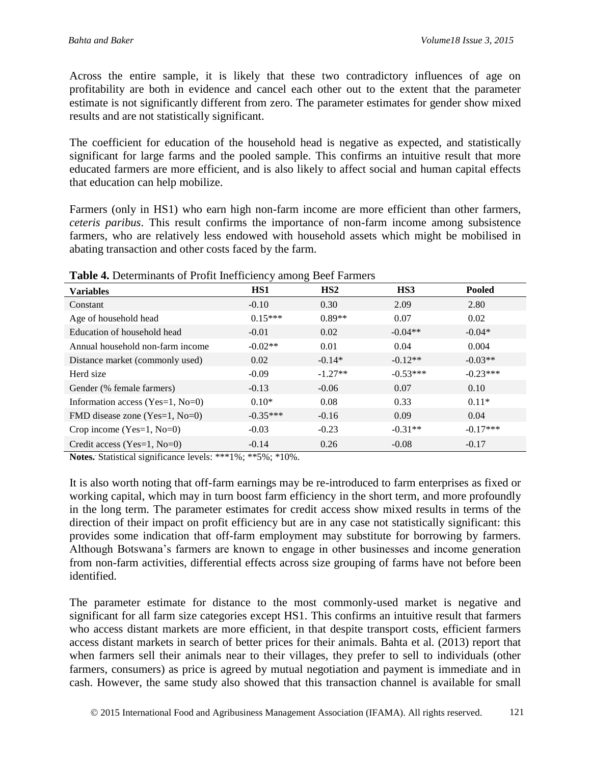Across the entire sample, it is likely that these two contradictory influences of age on profitability are both in evidence and cancel each other out to the extent that the parameter estimate is not significantly different from zero. The parameter estimates for gender show mixed results and are not statistically significant.

The coefficient for education of the household head is negative as expected, and statistically significant for large farms and the pooled sample. This confirms an intuitive result that more educated farmers are more efficient, and is also likely to affect social and human capital effects that education can help mobilize.

Farmers (only in HS1) who earn high non-farm income are more efficient than other farmers, *ceteris paribus*. This result confirms the importance of non-farm income among subsistence farmers, who are relatively less endowed with household assets which might be mobilised in abating transaction and other costs faced by the farm.

| <b>Table 4.</b> Determinants of Front Inchilence alliong Deci Farmers |                 |           |            |               |  |  |
|-----------------------------------------------------------------------|-----------------|-----------|------------|---------------|--|--|
| <b>Variables</b>                                                      | HS <sub>1</sub> | HS2       | HS3        | <b>Pooled</b> |  |  |
| Constant                                                              | $-0.10$         | 0.30      | 2.09       | 2.80          |  |  |
| Age of household head                                                 | $0.15***$       | $0.89**$  | 0.07       | 0.02          |  |  |
| Education of household head                                           | $-0.01$         | 0.02      | $-0.04**$  | $-0.04*$      |  |  |
| Annual household non-farm income                                      | $-0.02**$       | 0.01      | 0.04       | 0.004         |  |  |
| Distance market (commonly used)                                       | 0.02            | $-0.14*$  | $-0.12**$  | $-0.03**$     |  |  |
| Herd size                                                             | $-0.09$         | $-1.27**$ | $-0.53***$ | $-0.23***$    |  |  |
| Gender (% female farmers)                                             | $-0.13$         | $-0.06$   | 0.07       | 0.10          |  |  |
| Information access $(Yes=1, No=0)$                                    | $0.10*$         | 0.08      | 0.33       | $0.11*$       |  |  |
| FMD disease zone (Yes=1, $No=0$ )                                     | $-0.35***$      | $-0.16$   | 0.09       | 0.04          |  |  |
| Crop income $(Yes=1, No=0)$                                           | $-0.03$         | $-0.23$   | $-0.31**$  | $-0.17***$    |  |  |
| Credit access (Yes=1, No=0)                                           | $-0.14$         | 0.26      | $-0.08$    | $-0.17$       |  |  |

**Table 4.** Determinants of Profit Inefficiency among Beef Farmers

**Notes.**. Statistical significance levels: \*\*\*1%; \*\*5%; \*10%.

It is also worth noting that off-farm earnings may be re-introduced to farm enterprises as fixed or working capital, which may in turn boost farm efficiency in the short term, and more profoundly in the long term. The parameter estimates for credit access show mixed results in terms of the direction of their impact on profit efficiency but are in any case not statistically significant: this provides some indication that off-farm employment may substitute for borrowing by farmers. Although Botswana's farmers are known to engage in other businesses and income generation from non-farm activities, differential effects across size grouping of farms have not before been identified.

The parameter estimate for distance to the most commonly-used market is negative and significant for all farm size categories except HS1. This confirms an intuitive result that farmers who access distant markets are more efficient, in that despite transport costs, efficient farmers access distant markets in search of better prices for their animals. Bahta et al*.* (2013) report that when farmers sell their animals near to their villages, they prefer to sell to individuals (other farmers, consumers) as price is agreed by mutual negotiation and payment is immediate and in cash. However, the same study also showed that this transaction channel is available for small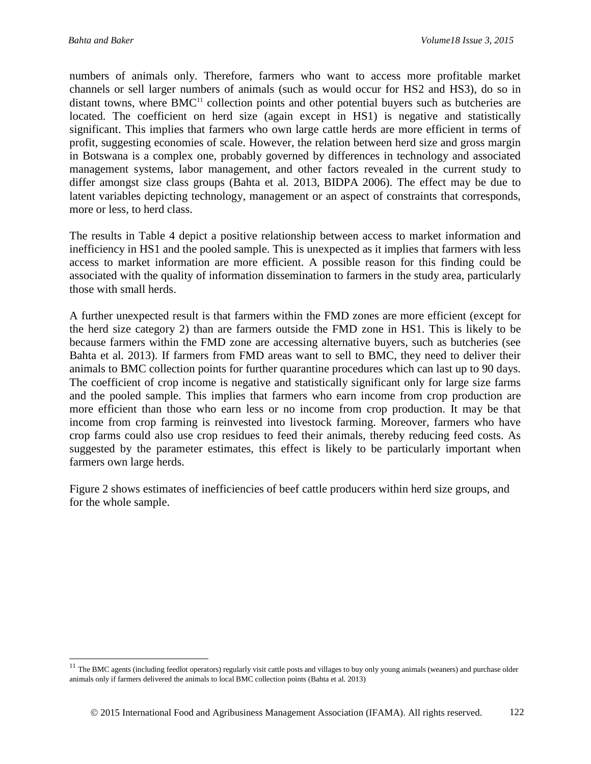l

numbers of animals only. Therefore, farmers who want to access more profitable market channels or sell larger numbers of animals (such as would occur for HS2 and HS3), do so in distant towns, where  $BMC<sup>11</sup>$  collection points and other potential buyers such as butcheries are located. The coefficient on herd size (again except in HS1) is negative and statistically significant. This implies that farmers who own large cattle herds are more efficient in terms of profit, suggesting economies of scale. However, the relation between herd size and gross margin in Botswana is a complex one, probably governed by differences in technology and associated management systems, labor management, and other factors revealed in the current study to differ amongst size class groups (Bahta et al*.* 2013, BIDPA 2006). The effect may be due to latent variables depicting technology, management or an aspect of constraints that corresponds, more or less, to herd class.

The results in Table 4 depict a positive relationship between access to market information and inefficiency in HS1 and the pooled sample. This is unexpected as it implies that farmers with less access to market information are more efficient. A possible reason for this finding could be associated with the quality of information dissemination to farmers in the study area, particularly those with small herds.

A further unexpected result is that farmers within the FMD zones are more efficient (except for the herd size category 2) than are farmers outside the FMD zone in HS1. This is likely to be because farmers within the FMD zone are accessing alternative buyers, such as butcheries (see Bahta et al*.* 2013). If farmers from FMD areas want to sell to BMC, they need to deliver their animals to BMC collection points for further quarantine procedures which can last up to 90 days. The coefficient of crop income is negative and statistically significant only for large size farms and the pooled sample. This implies that farmers who earn income from crop production are more efficient than those who earn less or no income from crop production. It may be that income from crop farming is reinvested into livestock farming. Moreover, farmers who have crop farms could also use crop residues to feed their animals, thereby reducing feed costs. As suggested by the parameter estimates, this effect is likely to be particularly important when farmers own large herds.

Figure 2 shows estimates of inefficiencies of beef cattle producers within herd size groups, and for the whole sample.

 $11$  The BMC agents (including feedlot operators) regularly visit cattle posts and villages to buy only young animals (weaners) and purchase older animals only if farmers delivered the animals to local BMC collection points (Bahta et al. 2013)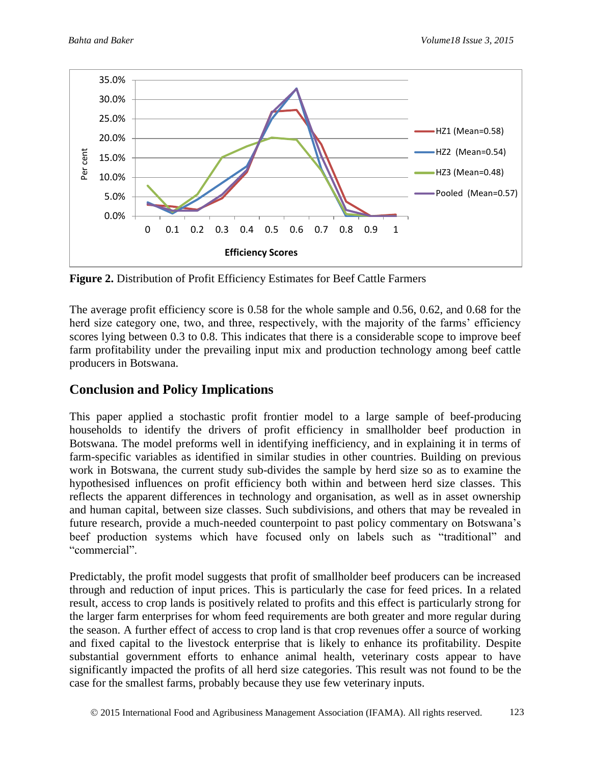

**Figure 2.** Distribution of Profit Efficiency Estimates for Beef Cattle Farmers

The average profit efficiency score is 0.58 for the whole sample and 0.56, 0.62, and 0.68 for the herd size category one, two, and three, respectively, with the majority of the farms' efficiency scores lying between 0.3 to 0.8. This indicates that there is a considerable scope to improve beef farm profitability under the prevailing input mix and production technology among beef cattle producers in Botswana.

# **Conclusion and Policy Implications**

This paper applied a stochastic profit frontier model to a large sample of beef-producing households to identify the drivers of profit efficiency in smallholder beef production in Botswana. The model preforms well in identifying inefficiency, and in explaining it in terms of farm-specific variables as identified in similar studies in other countries. Building on previous work in Botswana, the current study sub-divides the sample by herd size so as to examine the hypothesised influences on profit efficiency both within and between herd size classes. This reflects the apparent differences in technology and organisation, as well as in asset ownership and human capital, between size classes. Such subdivisions, and others that may be revealed in future research, provide a much-needed counterpoint to past policy commentary on Botswana's beef production systems which have focused only on labels such as "traditional" and "commercial".

Predictably, the profit model suggests that profit of smallholder beef producers can be increased through and reduction of input prices. This is particularly the case for feed prices. In a related result, access to crop lands is positively related to profits and this effect is particularly strong for the larger farm enterprises for whom feed requirements are both greater and more regular during the season. A further effect of access to crop land is that crop revenues offer a source of working and fixed capital to the livestock enterprise that is likely to enhance its profitability. Despite substantial government efforts to enhance animal health, veterinary costs appear to have significantly impacted the profits of all herd size categories. This result was not found to be the case for the smallest farms, probably because they use few veterinary inputs.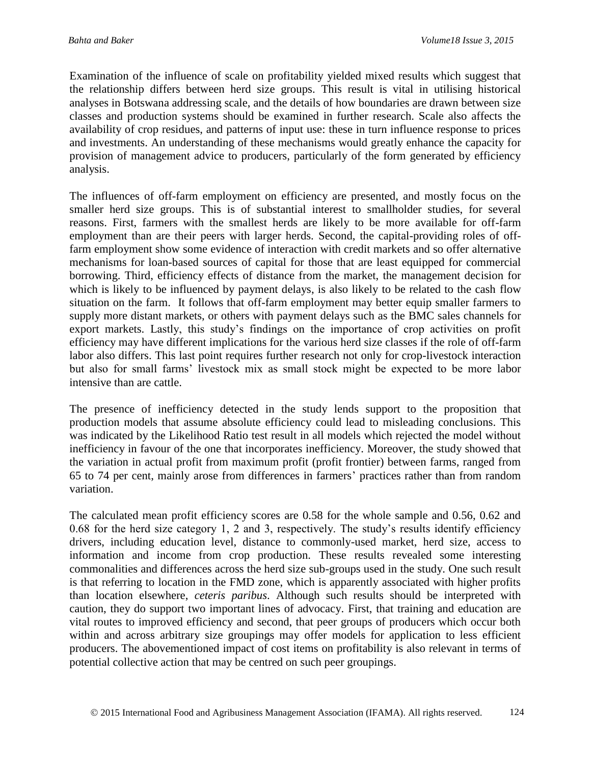Examination of the influence of scale on profitability yielded mixed results which suggest that the relationship differs between herd size groups. This result is vital in utilising historical analyses in Botswana addressing scale, and the details of how boundaries are drawn between size classes and production systems should be examined in further research. Scale also affects the availability of crop residues, and patterns of input use: these in turn influence response to prices and investments. An understanding of these mechanisms would greatly enhance the capacity for provision of management advice to producers, particularly of the form generated by efficiency analysis.

The influences of off-farm employment on efficiency are presented, and mostly focus on the smaller herd size groups. This is of substantial interest to smallholder studies, for several reasons. First, farmers with the smallest herds are likely to be more available for off-farm employment than are their peers with larger herds. Second, the capital-providing roles of offfarm employment show some evidence of interaction with credit markets and so offer alternative mechanisms for loan-based sources of capital for those that are least equipped for commercial borrowing. Third, efficiency effects of distance from the market, the management decision for which is likely to be influenced by payment delays, is also likely to be related to the cash flow situation on the farm. It follows that off-farm employment may better equip smaller farmers to supply more distant markets, or others with payment delays such as the BMC sales channels for export markets. Lastly, this study's findings on the importance of crop activities on profit efficiency may have different implications for the various herd size classes if the role of off-farm labor also differs. This last point requires further research not only for crop-livestock interaction but also for small farms' livestock mix as small stock might be expected to be more labor intensive than are cattle.

The presence of inefficiency detected in the study lends support to the proposition that production models that assume absolute efficiency could lead to misleading conclusions. This was indicated by the Likelihood Ratio test result in all models which rejected the model without inefficiency in favour of the one that incorporates inefficiency. Moreover, the study showed that the variation in actual profit from maximum profit (profit frontier) between farms, ranged from 65 to 74 per cent, mainly arose from differences in farmers' practices rather than from random variation.

The calculated mean profit efficiency scores are 0.58 for the whole sample and 0.56, 0.62 and 0.68 for the herd size category 1, 2 and 3, respectively. The study's results identify efficiency drivers, including education level, distance to commonly-used market, herd size, access to information and income from crop production. These results revealed some interesting commonalities and differences across the herd size sub-groups used in the study. One such result is that referring to location in the FMD zone, which is apparently associated with higher profits than location elsewhere, *ceteris paribus*. Although such results should be interpreted with caution, they do support two important lines of advocacy. First, that training and education are vital routes to improved efficiency and second, that peer groups of producers which occur both within and across arbitrary size groupings may offer models for application to less efficient producers. The abovementioned impact of cost items on profitability is also relevant in terms of potential collective action that may be centred on such peer groupings.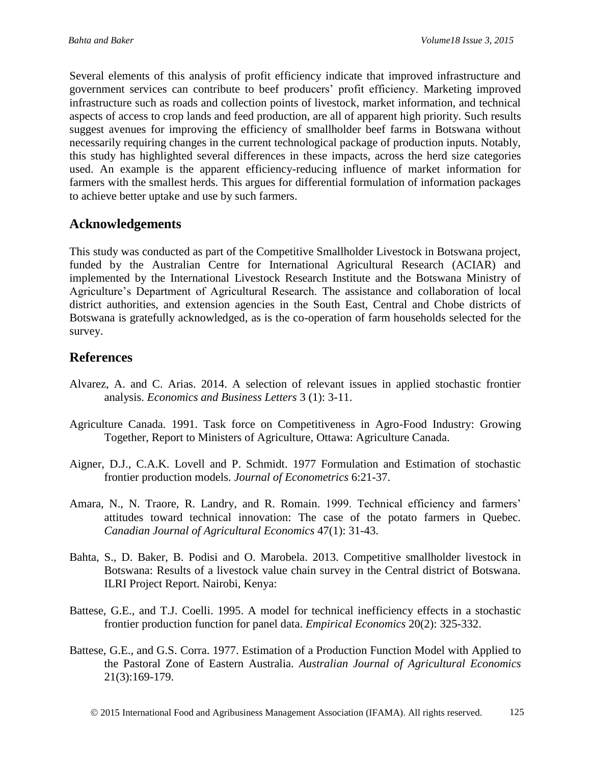Several elements of this analysis of profit efficiency indicate that improved infrastructure and government services can contribute to beef producers' profit efficiency. Marketing improved infrastructure such as roads and collection points of livestock, market information, and technical aspects of access to crop lands and feed production, are all of apparent high priority. Such results suggest avenues for improving the efficiency of smallholder beef farms in Botswana without necessarily requiring changes in the current technological package of production inputs. Notably, this study has highlighted several differences in these impacts, across the herd size categories used. An example is the apparent efficiency-reducing influence of market information for farmers with the smallest herds. This argues for differential formulation of information packages to achieve better uptake and use by such farmers.

### **Acknowledgements**

This study was conducted as part of the Competitive Smallholder Livestock in Botswana project, funded by the Australian Centre for International Agricultural Research (ACIAR) and implemented by the International Livestock Research Institute and the Botswana Ministry of Agriculture's Department of Agricultural Research. The assistance and collaboration of local district authorities, and extension agencies in the South East, Central and Chobe districts of Botswana is gratefully acknowledged, as is the co-operation of farm households selected for the survey.

### **References**

- Alvarez, A. and C. Arias. 2014. A selection of relevant issues in applied stochastic frontier analysis. *Economics and Business Letters* 3 (1): 3-11.
- Agriculture Canada. 1991. Task force on Competitiveness in Agro-Food Industry: Growing Together, Report to Ministers of Agriculture, Ottawa: Agriculture Canada.
- Aigner, D.J., C.A.K. Lovell and P. Schmidt. 1977 Formulation and Estimation of stochastic frontier production models. *Journal of Econometrics* 6:21-37.
- Amara, N., N. Traore, R. Landry, and R. Romain. 1999. Technical efficiency and farmers' attitudes toward technical innovation: The case of the potato farmers in Quebec. *Canadian Journal of Agricultural Economics* 47(1): 31-43.
- Bahta, S., D. Baker, B. Podisi and O. Marobela. 2013. Competitive smallholder livestock in Botswana: Results of a livestock value chain survey in the Central district of Botswana. ILRI Project Report. Nairobi, Kenya:
- Battese, G.E., and T.J. Coelli. 1995. A model for technical inefficiency effects in a stochastic frontier production function for panel data. *Empirical Economics* 20(2): 325-332.
- Battese, G.E., and G.S. Corra. 1977. Estimation of a Production Function Model with Applied to the Pastoral Zone of Eastern Australia. *Australian Journal of Agricultural Economics* 21(3):169-179.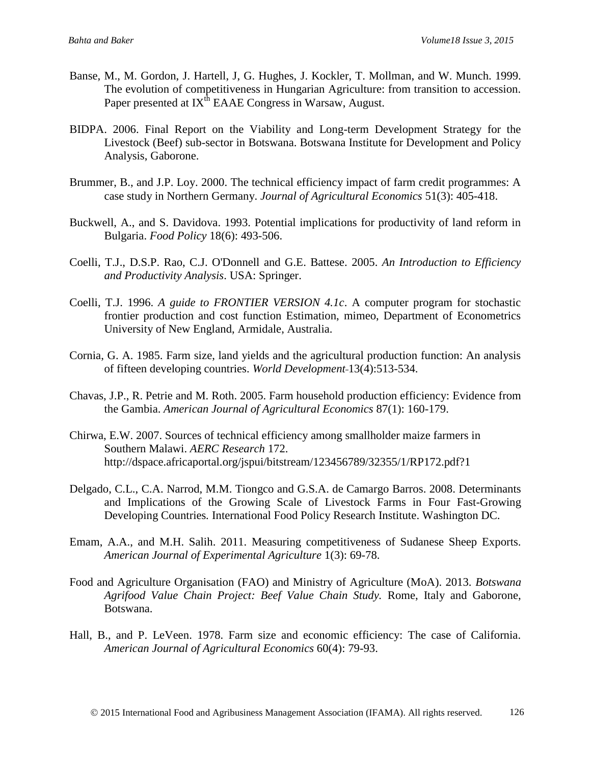- Banse, M., M. Gordon, J. Hartell, J, G. Hughes, J. Kockler, T. Mollman, and W. Munch. 1999. The evolution of competitiveness in Hungarian Agriculture: from transition to accession. Paper presented at IX<sup>th</sup> EAAE Congress in Warsaw, August.
- BIDPA. 2006. Final Report on the Viability and Long-term Development Strategy for the Livestock (Beef) sub-sector in Botswana. Botswana Institute for Development and Policy Analysis, Gaborone.
- Brummer, B., and J.P. Loy. 2000. The technical efficiency impact of farm credit programmes: A case study in Northern Germany. *Journal of Agricultural Economics* 51(3): 405-418.
- Buckwell, A., and S. Davidova. 1993. Potential implications for productivity of land reform in Bulgaria. *Food Policy* 18(6): 493-506.
- Coelli, [T.](http://www.amazon.com/Timothy-J.-Coelli/e/B00IYJ5LC6/ref=dp_byline_cont_book_1)J., D.S.P. Rao, C.J. O'Donnell and [G.E.](http://www.amazon.com/s/ref=dp_byline_sr_book_4?ie=UTF8&field-author=George+Edward+Battese&search-alias=books&text=George+Edward+Battese&sort=relevancerank) Battese. 2005. *An Introduction to Efficiency and Productivity Analysis*. USA: Springer.
- Coelli, T.J. 1996. *A guide to FRONTIER VERSION 4.1c*. A computer program for stochastic frontier production and cost function Estimation, mimeo, Department of Econometrics University of New England, Armidale, Australia.
- Cornia, G. A. 1985. Farm size, land yields and the agricultural production function: An analysis of fifteen developing countries. *World Development* 13(4):513-534.
- Chavas, J.P., R. Petrie and M. Roth. 2005. Farm household production efficiency: Evidence from the Gambia. *American Journal of Agricultural Economics* 87(1): 160-179.
- Chirwa, E.W. 2007. Sources of technical efficiency among smallholder maize farmers in Southern Malawi. *AERC Research* 172. http://dspace.africaportal.org/jspui/bitstream/123456789/32355/1/RP172.pdf?1
- Delgado, C.L., C.A. Narrod, M.M. Tiongco and G.S.A. de Camargo Barros. 2008. Determinants and Implications of the Growing Scale of Livestock Farms in Four Fast-Growing Developing Countries*.* International Food Policy Research Institute. Washington DC.
- Emam, A.A., and M.H. Salih. 2011. Measuring competitiveness of Sudanese Sheep Exports. *American Journal of Experimental Agriculture* 1(3): 69-78.
- Food and Agriculture Organisation (FAO) and Ministry of Agriculture (MoA). 2013. *Botswana Agrifood Value Chain Project: Beef Value Chain Study.* Rome, Italy and Gaborone, Botswana.
- Hall, B., and P. LeVeen. 1978. Farm size and economic efficiency: The case of California. *American Journal of Agricultural Economics* 60(4): 79-93.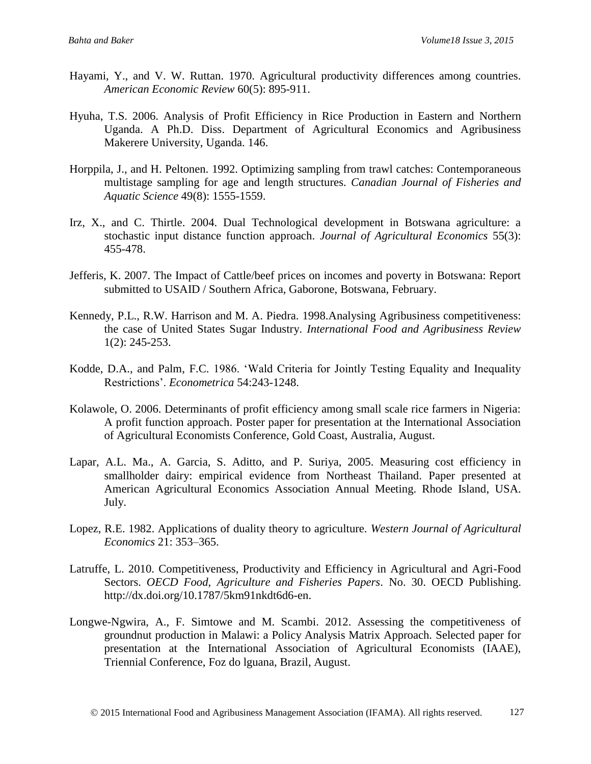- Hayami, Y., and V. W. Ruttan. 1970. Agricultural productivity differences among countries. *American Economic Review* 60(5): 895-911.
- Hyuha, T.S. 2006. Analysis of Profit Efficiency in Rice Production in Eastern and Northern Uganda. A Ph.D. Diss. Department of Agricultural Economics and Agribusiness Makerere University, Uganda. 146.
- Horppila, J., and H. Peltonen. 1992. Optimizing sampling from trawl catches: Contemporaneous multistage sampling for age and length structures. *Canadian Journal of Fisheries and Aquatic Science* 49(8): 1555-1559.
- Irz, X., and C. Thirtle. 2004. Dual Technological development in Botswana agriculture: a stochastic input distance function approach. *Journal of Agricultural Economics* 55(3): 455-478.
- Jefferis, K. 2007. The Impact of Cattle/beef prices on incomes and poverty in Botswana: Report submitted to USAID / Southern Africa, Gaborone, Botswana, February.
- Kennedy, P.L., R.W. Harrison and M. A. Piedra. 1998.Analysing Agribusiness competitiveness: the case of United States Sugar Industry. *International Food and Agribusiness Review* 1(2): 245-253.
- Kodde, D.A., and Palm, F.C. 1986. 'Wald Criteria for Jointly Testing Equality and Inequality Restrictions'. *Econometrica* 54:243-1248.
- Kolawole, O. 2006. Determinants of profit efficiency among small scale rice farmers in Nigeria: A profit function approach. Poster paper for presentation at the International Association of Agricultural Economists Conference, Gold Coast, Australia, August.
- Lapar, A.L. Ma., A. Garcia, S. Aditto, and P. Suriya, 2005. Measuring cost efficiency in smallholder dairy: empirical evidence from Northeast Thailand. Paper presented at American Agricultural Economics Association Annual Meeting. Rhode Island, USA. July.
- Lopez, R.E. 1982. Applications of duality theory to agriculture. *Western Journal of Agricultural Economics* 21: 353–365.
- Latruffe, L. 2010. Competitiveness, Productivity and Efficiency in Agricultural and Agri-Food Sectors. *OECD Food, Agriculture and Fisheries Papers*. No. 30. OECD Publishing. http://dx.doi.org/10.1787/5km91nkdt6d6-en.
- Longwe-Ngwira, A., F. Simtowe and M. Scambi. 2012. Assessing the competitiveness of groundnut production in Malawi: a Policy Analysis Matrix Approach. Selected paper for presentation at the International Association of Agricultural Economists (IAAE), Triennial Conference, Foz do lguana, Brazil, August.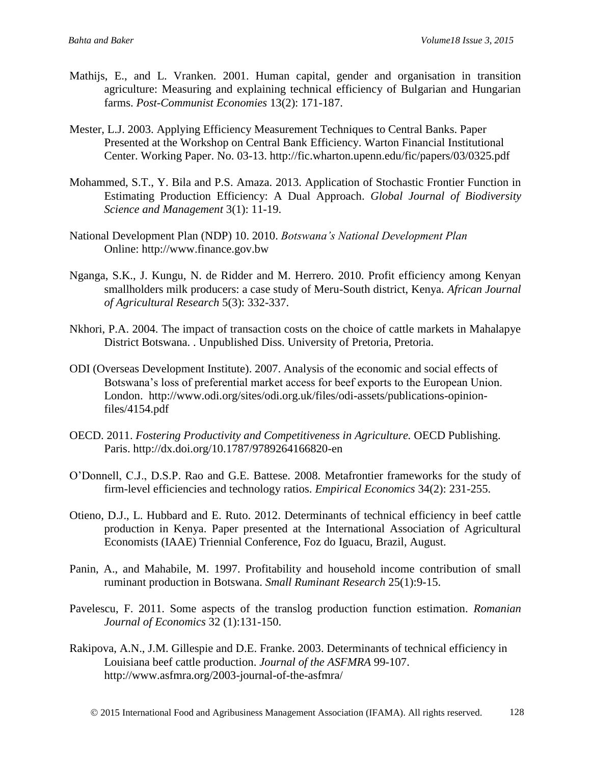- Mathijs, E., and L. Vranken. 2001. Human capital, gender and organisation in transition agriculture: Measuring and explaining technical efficiency of Bulgarian and Hungarian farms. *Post-Communist Economies* 13(2): 171-187.
- Mester, L.J. 2003. Applying Efficiency Measurement Techniques to Central Banks. Paper Presented at the Workshop on Central Bank Efficiency. Warton Financial Institutional Center. Working Paper. No. 03-13. http://fic.wharton.upenn.edu/fic/papers/03/0325.pdf
- Mohammed, S.T., Y. Bila and P.S. Amaza. 2013. Application of Stochastic Frontier Function in Estimating Production Efficiency: A Dual Approach. *Global Journal of Biodiversity Science and Management* 3(1): 11-19.
- National Development Plan (NDP) 10. 2010. *Botswana's National Development Plan* Online: http://www.finance.gov.bw
- Nganga, S.K., J. Kungu, N. de Ridder and M. Herrero. 2010. Profit efficiency among Kenyan smallholders milk producers: a case study of Meru-South district, Kenya. *African Journal of Agricultural Research* 5(3): 332-337.
- Nkhori, P.A. 2004. The impact of transaction costs on the choice of cattle markets in Mahalapye District Botswana. . Unpublished Diss. University of Pretoria, Pretoria.
- ODI (Overseas Development Institute). 2007. Analysis of the economic and social effects of Botswana's loss of preferential market access for beef exports to the European Union. London. http://www.odi.org/sites/odi.org.uk/files/odi-assets/publications-opinionfiles/4154.pdf
- OECD. 2011. *Fostering Productivity and Competitiveness in Agriculture.* OECD Publishing. Paris. http://dx.doi.org/10.1787/9789264166820-en
- O'Donnell, C.J., D.S.P. Rao and G.E. Battese. 2008. Metafrontier frameworks for the study of firm-level efficiencies and technology ratios. *Empirical Economics* 34(2): 231-255.
- Otieno, D.J., L. Hubbard and E. Ruto. 2012. Determinants of technical efficiency in beef cattle production in Kenya. Paper presented at the International Association of Agricultural Economists (IAAE) Triennial Conference, Foz do Iguacu, Brazil, August.
- Panin, A., and Mahabile, M. 1997. Profitability and household income contribution of small ruminant production in Botswana. *Small Ruminant Research* 25(1):9-15.
- Pavelescu, F. 2011. Some aspects of the translog production function estimation. *[Romanian](http://econpapers.repec.org/article/inejournl/)  [Journal of Economics](http://econpapers.repec.org/article/inejournl/)* 32 (1):131-150.
- Rakipova, A.N., J.M. Gillespie and D.E. Franke. 2003. Determinants of technical efficiency in Louisiana beef cattle production. *Journal of the ASFMRA* 99-107. http://www.asfmra.org/2003-journal-of-the-asfmra/